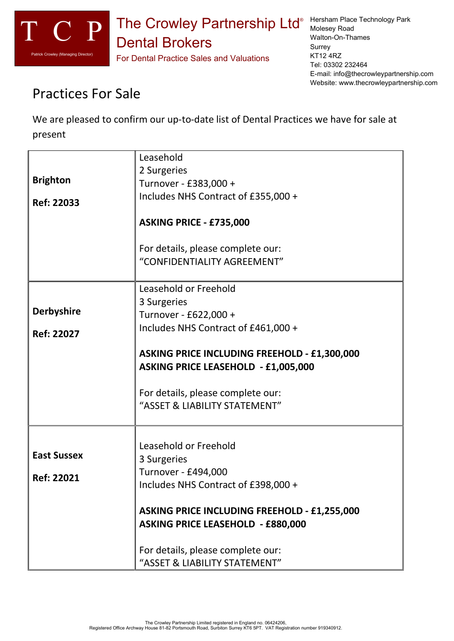

Molesey Road Walton-On-Thames **Surrey** KT12 4RZ Tel: 03302 232464 E-mail: info@thecrowleypartnership.com Website: www.thecrowleypartnership.com

## Practices For Sale

We are pleased to confirm our up-to-date list of Dental Practices we have for sale at present

|                    | Leasehold                                           |
|--------------------|-----------------------------------------------------|
|                    | 2 Surgeries                                         |
| <b>Brighton</b>    | Turnover - £383,000 +                               |
|                    |                                                     |
| Ref: 22033         | Includes NHS Contract of £355,000 +                 |
|                    |                                                     |
|                    | ASKING PRICE - £735,000                             |
|                    |                                                     |
|                    | For details, please complete our:                   |
|                    | "CONFIDENTIALITY AGREEMENT"                         |
|                    |                                                     |
|                    | Leasehold or Freehold                               |
|                    | 3 Surgeries                                         |
| <b>Derbyshire</b>  | Turnover - £622,000 +                               |
| Ref: 22027         | Includes NHS Contract of £461,000 +                 |
|                    |                                                     |
|                    | <b>ASKING PRICE INCLUDING FREEHOLD - £1,300,000</b> |
|                    | <b>ASKING PRICE LEASEHOLD - £1,005,000</b>          |
|                    |                                                     |
|                    | For details, please complete our:                   |
|                    | "ASSET & LIABILITY STATEMENT"                       |
|                    |                                                     |
|                    |                                                     |
|                    | Leasehold or Freehold                               |
| <b>East Sussex</b> | 3 Surgeries                                         |
|                    | Turnover - £494,000                                 |
| <b>Ref: 22021</b>  | Includes NHS Contract of £398,000 +                 |
|                    |                                                     |
|                    | <b>ASKING PRICE INCLUDING FREEHOLD - £1,255,000</b> |
|                    | <b>ASKING PRICE LEASEHOLD - £880,000</b>            |
|                    |                                                     |
|                    | For details, please complete our:                   |
|                    |                                                     |
|                    | "ASSET & LIABILITY STATEMENT"                       |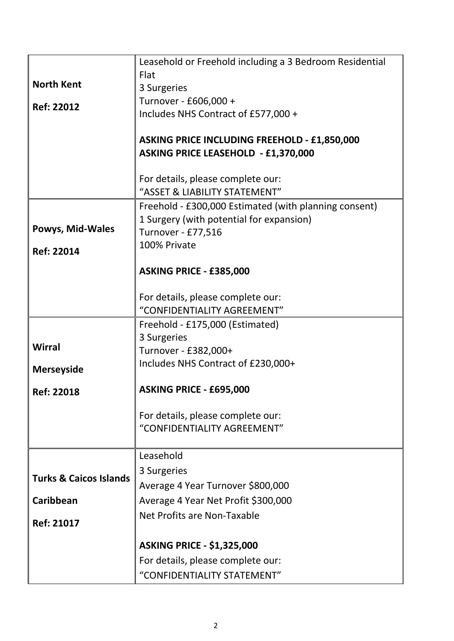|                                   | Leasehold or Freehold including a 3 Bedroom Residential |
|-----------------------------------|---------------------------------------------------------|
|                                   | Flat                                                    |
| <b>North Kent</b>                 | 3 Surgeries                                             |
| <b>Ref: 22012</b>                 | Turnover - £606,000 +                                   |
|                                   | Includes NHS Contract of £577,000 +                     |
|                                   | <b>ASKING PRICE INCLUDING FREEHOLD - £1,850,000</b>     |
|                                   | <b>ASKING PRICE LEASEHOLD - £1,370,000</b>              |
|                                   |                                                         |
|                                   | For details, please complete our:                       |
|                                   | "ASSET & LIABILITY STATEMENT"                           |
|                                   | Freehold - £300,000 Estimated (with planning consent)   |
|                                   | 1 Surgery (with potential for expansion)                |
| Powys, Mid-Wales                  | Turnover - £77,516                                      |
| <b>Ref: 22014</b>                 | 100% Private                                            |
|                                   | ASKING PRICE - £385,000                                 |
|                                   |                                                         |
|                                   | For details, please complete our:                       |
|                                   | "CONFIDENTIALITY AGREEMENT"                             |
|                                   | Freehold - £175,000 (Estimated)                         |
|                                   | 3 Surgeries                                             |
| <b>Wirral</b>                     | Turnover - £382,000+                                    |
| <b>Merseyside</b>                 | Includes NHS Contract of £230,000+                      |
| <b>Ref: 22018</b>                 | ASKING PRICE - £695,000                                 |
|                                   |                                                         |
|                                   | For details, please complete our:                       |
|                                   | "CONFIDENTIALITY AGREEMENT"                             |
|                                   | Leasehold                                               |
|                                   | 3 Surgeries                                             |
| <b>Turks &amp; Caicos Islands</b> | Average 4 Year Turnover \$800,000                       |
| Caribbean                         | Average 4 Year Net Profit \$300,000                     |
|                                   | Net Profits are Non-Taxable                             |
| Ref: 21017                        |                                                         |
|                                   | <b>ASKING PRICE - \$1,325,000</b>                       |
|                                   | For details, please complete our:                       |
|                                   | "CONFIDENTIALITY STATEMENT"                             |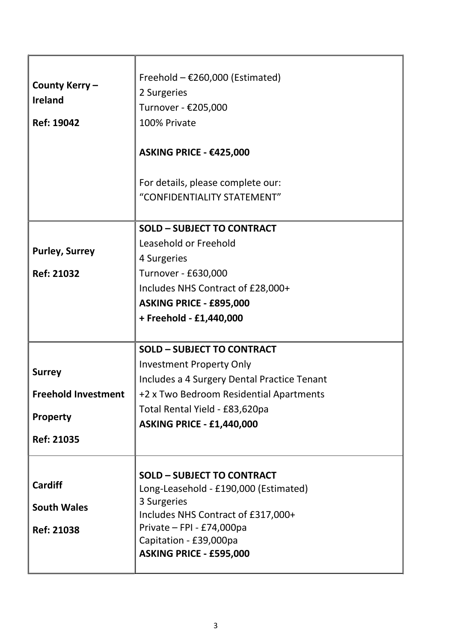| County Kerry-<br><b>Ireland</b><br><b>Ref: 19042</b>      | Freehold $-$ £260,000 (Estimated)<br>2 Surgeries<br>Turnover - €205,000<br>100% Private<br>ASKING PRICE - €425,000<br>For details, please complete our:<br>"CONFIDENTIALITY STATEMENT"                            |
|-----------------------------------------------------------|-------------------------------------------------------------------------------------------------------------------------------------------------------------------------------------------------------------------|
|                                                           | <b>SOLD - SUBJECT TO CONTRACT</b>                                                                                                                                                                                 |
| <b>Purley, Surrey</b><br><b>Ref: 21032</b>                | Leasehold or Freehold<br>4 Surgeries<br>Turnover - £630,000<br>Includes NHS Contract of £28,000+                                                                                                                  |
|                                                           | ASKING PRICE - £895,000<br>+ Freehold - £1,440,000                                                                                                                                                                |
|                                                           | <b>SOLD - SUBJECT TO CONTRACT</b>                                                                                                                                                                                 |
| <b>Surrey</b>                                             | <b>Investment Property Only</b><br>Includes a 4 Surgery Dental Practice Tenant                                                                                                                                    |
| <b>Freehold Investment</b>                                | +2 x Two Bedroom Residential Apartments                                                                                                                                                                           |
| <b>Property</b>                                           | Total Rental Yield - £83,620pa<br><b>ASKING PRICE - £1,440,000</b>                                                                                                                                                |
| <b>Ref: 21035</b>                                         |                                                                                                                                                                                                                   |
| <b>Cardiff</b><br><b>South Wales</b><br><b>Ref: 21038</b> | <b>SOLD - SUBJECT TO CONTRACT</b><br>Long-Leasehold - £190,000 (Estimated)<br>3 Surgeries<br>Includes NHS Contract of £317,000+<br>Private - FPI - £74,000pa<br>Capitation - £39,000pa<br>ASKING PRICE - £595,000 |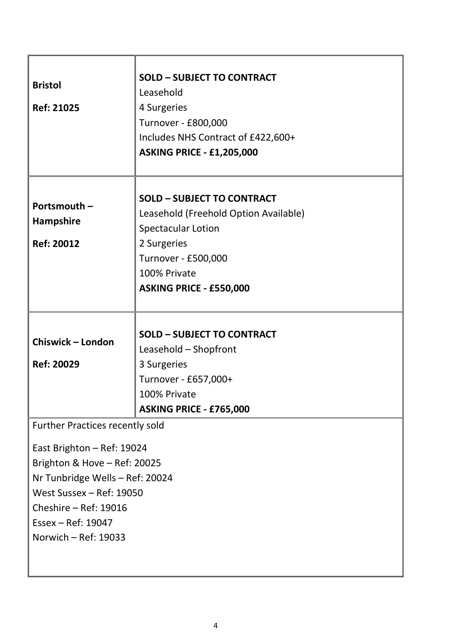| <b>Bristol</b><br><b>Ref: 21025</b>                                                                                                                                                                                                          | <b>SOLD - SUBJECT TO CONTRACT</b><br>Leasehold<br>4 Surgeries<br>Turnover - £800,000<br>Includes NHS Contract of £422,600+<br><b>ASKING PRICE - £1,205,000</b>                           |
|----------------------------------------------------------------------------------------------------------------------------------------------------------------------------------------------------------------------------------------------|------------------------------------------------------------------------------------------------------------------------------------------------------------------------------------------|
| Portsmouth -<br><b>Hampshire</b><br><b>Ref: 20012</b>                                                                                                                                                                                        | <b>SOLD - SUBJECT TO CONTRACT</b><br>Leasehold (Freehold Option Available)<br><b>Spectacular Lotion</b><br>2 Surgeries<br>Turnover - £500,000<br>100% Private<br>ASKING PRICE - £550,000 |
| <b>Chiswick - London</b><br><b>Ref: 20029</b>                                                                                                                                                                                                | <b>SOLD - SUBJECT TO CONTRACT</b><br>Leasehold - Shopfront<br>3 Surgeries<br>Turnover - £657,000+<br>100% Private<br>ASKING PRICE - £765,000                                             |
| <b>Further Practices recently sold</b><br>East Brighton - Ref: 19024<br>Brighton & Hove - Ref: 20025<br>Nr Tunbridge Wells - Ref: 20024<br>West Sussex - Ref: 19050<br>Cheshire - Ref: 19016<br>Essex - Ref: 19047<br>Norwich $-$ Ref: 19033 |                                                                                                                                                                                          |